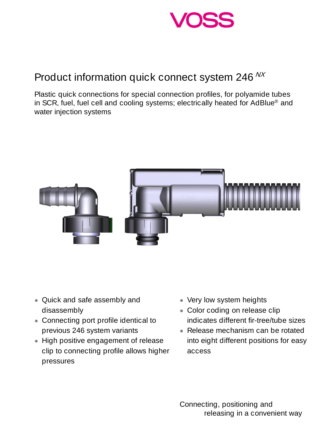

## Product information quick connect system 246 NX

Plastic quick connections for special connection profiles, for polyamide tubes in SCR, fuel, fuel cell and cooling systems; electrically heated for AdBlue® and water injection systems



- Quick and safe assembly and disassembly
- Connecting port profile identical to previous 246 system variants
- High positive engagement of release clip to connecting profile allows higher pressures
- Very low system heights
- Color coding on release clip indicates different fir-tree/tube sizes
- Release mechanism can be rotated into eight different positions for easy access

Connecting, positioning and releasing in a convenient way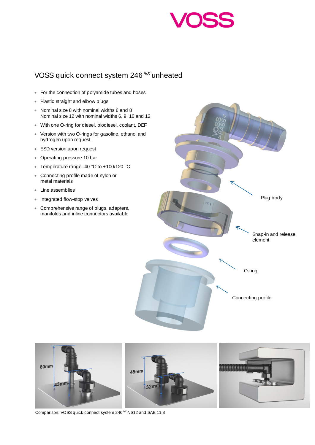

## VOSS quick connect system 246<sup>NX</sup> unheated

- · For the connection of polyamide tubes and hoses
- · Plastic straight and elbow plugs
- · Nominal size 8 with nominal widths 6 and 8 Nominal size 12 with nominal widths 6, 9, 10 and 12
- · With one O-ring for diesel, biodiesel, coolant, DEF
- · Version with two O-rings for gasoline, ethanol and hydrogen upon request
- · ESD version upon request
- · Operating pressure 10 bar
- · Temperature range -40 °C to +100/120 °C
- · Connecting profile made of nylon or metal materials
- · Line assemblies
- · Integrated flow-stop valves
- · Comprehensive range of plugs, adapters, manifolds and inline connectors available





Comparison: VOSS quick connect system 246<sup>NX</sup> NS12 and SAE 11.8